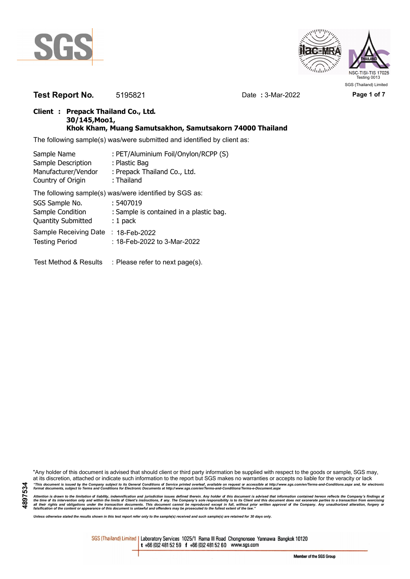



**Test Report No.** 5195821 Date **:** 3-Mar-2022 **Page 1 of 7**

### **Client : Prepack Thailand Co., Ltd. 30/145,Moo1, Khok Kham, Muang Samutsakhon, Samutsakorn 74000 Thailand**

The following sample(s) was/were submitted and identified by client as:

| Sample Name                                            | : PET/Aluminium Foil/Onylon/RCPP (S)    |  |  |  |
|--------------------------------------------------------|-----------------------------------------|--|--|--|
| Sample Description                                     | : Plastic Bag                           |  |  |  |
| Manufacturer/Vendor                                    | : Prepack Thailand Co., Ltd.            |  |  |  |
| Country of Origin                                      | : Thailand                              |  |  |  |
| The following sample(s) was/were identified by SGS as: |                                         |  |  |  |
| SGS Sample No.                                         | : 5407019                               |  |  |  |
| Sample Condition                                       | : Sample is contained in a plastic bag. |  |  |  |
| <b>Quantity Submitted</b>                              | $: 1$ pack                              |  |  |  |
| Sample Receiving Date                                  | $: 18$ -Feb-2022                        |  |  |  |

Testing Period : 18-Feb-2022 to 3-Mar-2022

Test Method & Results : Please refer to next page(s).

"Any holder of this document is advised that should client or third party information be supplied with respect to the goods or sample, SGS may, at its discretion, attached or indicate such information to the report but SGS makes no warranties or accepts no liable for the veracity or lack "This document is issued by the Company subject to its General Conditions of Service printed overleaf, available on request or accessible at http://www.sgs.com/en/Terms-and-Conditions.aspx and, for electronic<br>format docume

Attention is drawn to the limitation of liability, indemnification and jurisdiction issues defined therein. Any holder of this document is advised that information contained hereon reflects the Company's findings at<br>all th

*Unless otherwise stated the results shown in this test report refer only to the sample(s) received and such sample(s) are retained for 30 days only.*

SGS (Thailand) Limited | Laboratory Services 1025/1 Rama III Road Chongnonsee Yannawa Bangkok 10120 t +66 (0)2 481 52 59 f +66 (0)2 481 52 60 www.sgs.com

Member of the SGS Group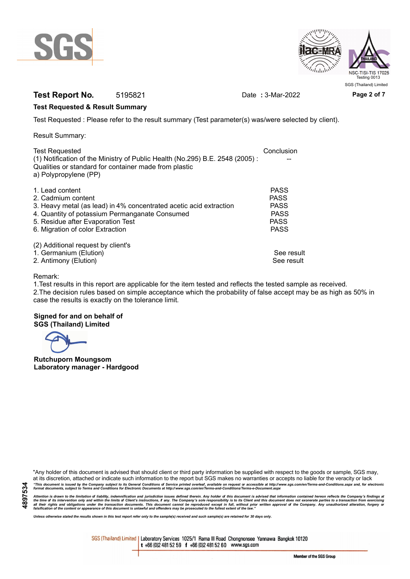



# **Test Report No.** 5195821 Date : 3-Mar-2022 Page 2 of 7

### **Test Requested & Result Summary**

Test Requested : Please refer to the result summary (Test parameter(s) was/were selected by client).

Result Summary:

| <b>Test Requested</b>                                                        | Conclusion  |
|------------------------------------------------------------------------------|-------------|
| (1) Notification of the Ministry of Public Health (No.295) B.E. 2548 (2005): |             |
| Qualities or standard for container made from plastic                        |             |
| a) Polypropylene (PP)                                                        |             |
| 1. Lead content                                                              | <b>PASS</b> |
| 2. Cadmium content                                                           | <b>PASS</b> |
| 3. Heavy metal (as lead) in 4% concentrated acetic acid extraction           | <b>PASS</b> |
| 4. Quantity of potassium Permanganate Consumed                               | <b>PASS</b> |
| 5. Residue after Evaporation Test                                            | <b>PASS</b> |
| 6. Migration of color Extraction                                             | <b>PASS</b> |
| (2) Additional request by client's                                           |             |
| 1. Germanium (Elution)                                                       | See result  |
| 2. Antimony (Elution)                                                        | See result  |

### Remark:

1.Test results in this report are applicable for the item tested and reflects the tested sample as received. 2.The decision rules based on simple acceptance which the probability of false accept may be as high as 50% in case the results is exactly on the tolerance limit.

#### **Signed for and on behalf of SGS (Thailand) Limited**

**Rutchuporn Moungsom Laboratory manager - Hardgood**

"Any holder of this document is advised that should client or third party information be supplied with respect to the goods or sample, SGS may, at its discretion, attached or indicate such information to the report but SGS makes no warranties or accepts no liable for the veracity or lack "This document is issued by the Company subject to its General Conditions of Service printed overleaf, available on request or accessible at http://www.sgs.com/en/Terms-and-Conditions.aspx and, for electronic<br>format docume

Attention is drawn to the limitation of liability, indemnification and jurisdiction issues defined therein. Any holder of this document is advised that information contained hereon reflects the Company's findings at<br>all th

*Unless otherwise stated the results shown in this test report refer only to the sample(s) received and such sample(s) are retained for 30 days only.*

SGS (Thailand) Limited | Laboratory Services 1025/1 Rama III Road Chongnonsee Yannawa Bangkok 10120 t +66 (0)2 481 52 59 f +66 (0)2 481 52 60 www.sgs.com

Member of the SGS Group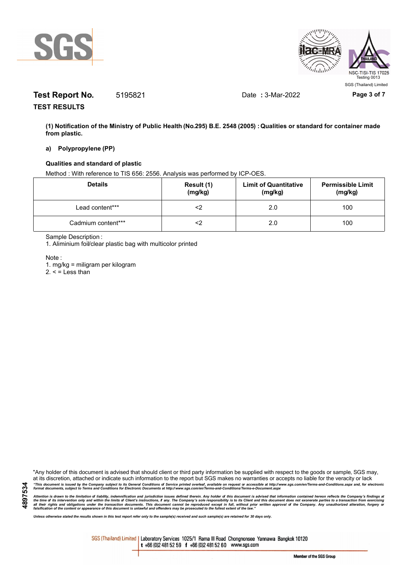



# **Test Report No.** 5195821 Date **:** 3-Mar-2022 **Page 3 of 7**

**TEST RESULTS**

**(1) Notification of the Ministry of Public Health (No.295) B.E. 2548 (2005) : Qualities or standard for container made from plastic.**

### **a) Polypropylene (PP)**

### **Qualities and standard of plastic**

Method : With reference to TIS 656: 2556. Analysis was performed by ICP-OES.

| <b>Details</b>     | Result (1)<br>(mg/kg) | <b>Limit of Quantitative</b><br>(mg/kg) | <b>Permissible Limit</b><br>(mg/kg) |
|--------------------|-----------------------|-----------------------------------------|-------------------------------------|
| Lead content***    |                       | 2.0                                     | 100                                 |
| Cadmium content*** |                       | 2.0                                     | 100                                 |

Sample Description :

1. Aliminium foil/clear plastic bag with multicolor printed

Note :

**4897534**

1. mg/kg = miligram per kilogram

 $2. <$  = Less than

"Any holder of this document is advised that should client or third party information be supplied with respect to the goods or sample, SGS may, at its discretion, attached or indicate such information to the report but SGS makes no warranties or accepts no liable for the veracity or lack "This document is issued by the Company subject to its General Conditions of Service printed overleaf, available on request or accessible at http://www.sgs.com/en/Terms-and-Conditions.aspx and, for electronic<br>format docume

Attention is drawn to the limitation of liability, indemnification and jurisdiction issues defined therein. Any holder of this document is advised that information contained hereon reflects the Company's findings at<br>all th

*Unless otherwise stated the results shown in this test report refer only to the sample(s) received and such sample(s) are retained for 30 days only.*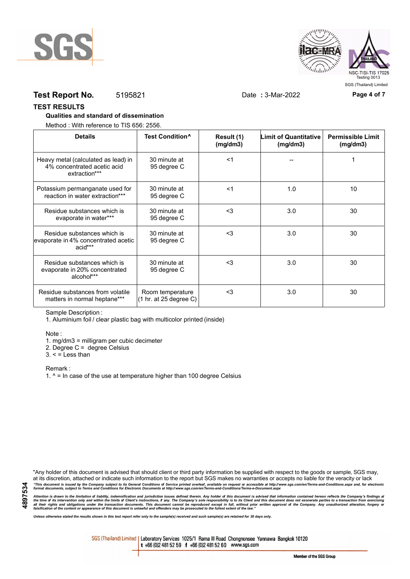



## **Test Report No.** 5195821 Date **:** 3-Mar-2022 **Page 4 of 7**

#### **TEST RESULTS**

#### **Qualities and standard of dissemination**

Method : With reference to TIS 656: 2556.

| <b>Details</b>                                                                      | Test Condition <sup>^</sup>                | Result (1)<br>(mg/dm3) | <b>Limit of Quantitative</b><br>(mg/dm3) | <b>Permissible Limit</b><br>(mg/dm3) |
|-------------------------------------------------------------------------------------|--------------------------------------------|------------------------|------------------------------------------|--------------------------------------|
| Heavy metal (calculated as lead) in<br>4% concentrated acetic acid<br>extraction*** | 30 minute at<br>95 degree C                | $<$ 1                  |                                          |                                      |
| Potassium permanganate used for<br>reaction in water extraction***                  | 30 minute at<br>95 degree C                | $<$ 1                  | 1.0                                      | 10                                   |
| Residue substances which is<br>evaporate in water***                                | 30 minute at<br>95 degree C                | $<$ 3                  | 3.0                                      | 30                                   |
| Residue substances which is<br>evaporate in 4% concentrated acetic<br>acid***       | 30 minute at<br>95 degree C                | $3$                    | 3.0                                      | 30                                   |
| Residue substances which is<br>evaporate in 20% concentrated<br>alcohol***          | 30 minute at<br>95 degree C                | $3$                    | 3.0                                      | 30                                   |
| Residue substances from volatile<br>matters in normal heptane***                    | Room temperature<br>(1 hr. at 25 degree C) | $<$ 3                  | 3.0                                      | 30                                   |

Sample Description :

1. Aluminium foil / clear plastic bag with multicolor printed (inside)

Note :

1. mg/dm3 = milligram per cubic decimeter

2. Degree C = degree Celsius

 $3. <$  = Less than

Remark :

1.  $^{\circ}$  = In case of the use at temperature higher than 100 degree Celsius

"Any holder of this document is advised that should client or third party information be supplied with respect to the goods or sample, SGS may, at its discretion, attached or indicate such information to the report but SGS makes no warranties or accepts no liable for the veracity or lack "This document is issued by the Company subject to its General Conditions of Service printed overleaf, available on request or accessible at http://www.sgs.com/en/Terms-and-Conditions.aspx and, for electronic<br>format docume

Attention is drawn to the limitation of liability, indemnification and jurisdiction issues defined therein. Any holder of this document is advised that information contained hereon reflects the Company's findings at<br>all th

*Unless otherwise stated the results shown in this test report refer only to the sample(s) received and such sample(s) are retained for 30 days only.*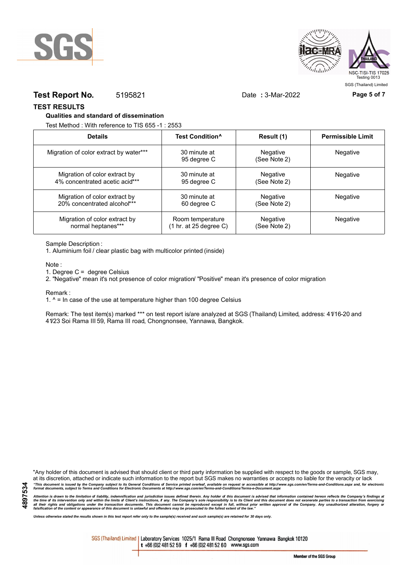



### **Test Report No.** 5195821 Date **:** 3-Mar-2022 **Page 5 of 7**

**TEST RESULTS**

#### **Qualities and standard of dissemination**

Test Method : With reference to TIS 655 -1 : 2553

| <b>Details</b>                         | Test Condition <sup>^</sup> | Result (1)               | <b>Permissible Limit</b> |
|----------------------------------------|-----------------------------|--------------------------|--------------------------|
| Migration of color extract by water*** | 30 minute at<br>95 degree C | Negative<br>(See Note 2) | <b>Negative</b>          |
| Migration of color extract by          | 30 minute at                | Negative                 | <b>Negative</b>          |
| 4% concentrated acetic acid***         | 95 degree C                 | (See Note 2)             |                          |
| Migration of color extract by          | 30 minute at                | Negative                 | Negative                 |
| 20% concentrated alcohol***            | 60 degree C                 | (See Note 2)             |                          |
| Migration of color extract by          | Room temperature            | Negative                 | Negative                 |
| normal heptanes***                     | (1 hr. at 25 degree C)      | (See Note 2)             |                          |

Sample Description :

1. Aluminium foil / clear plastic bag with multicolor printed (inside)

Note :

1. Degree C = degree Celsius

2. "Negative" mean it's not presence of color migration/ "Positive" mean it's presence of color migration

Remark :

1.  $^{\circ}$  = In case of the use at temperature higher than 100 degree Celsius

Remark: The test item(s) marked \*\*\* on test report is/are analyzed at SGS (Thailand) Limited, address: 41/16-20 and 41/23 Soi Rama III 59, Rama III road, Chongnonsee, Yannawa, Bangkok.

**4897534**

"Any holder of this document is advised that should client or third party information be supplied with respect to the goods or sample, SGS may, at its discretion, attached or indicate such information to the report but SGS makes no warranties or accepts no liable for the veracity or lack "This document is issued by the Company subject to its General Conditions of Service printed overleaf, available on request or accessible at http://www.sgs.com/en/Terms-and-Conditions.aspx and, for electronic<br>format docume

Attention is drawn to the limitation of liability, indemnification and jurisdiction issues defined therein. Any holder of this document is advised that information contained hereon reflects the Company's findings at<br>all th

*Unless otherwise stated the results shown in this test report refer only to the sample(s) received and such sample(s) are retained for 30 days only.*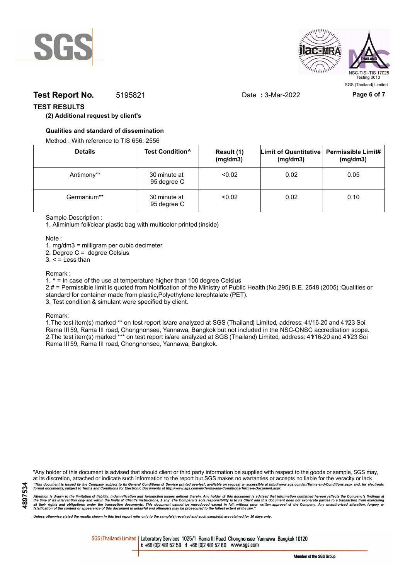



## **Test Report No.** 5195821 Date : 3-Mar-2022 Page 6 of 7

### **TEST RESULTS**

### **(2) Additional request by client's**

#### **Qualities and standard of dissemination**

Method : With reference to TIS 656: 2556

| <b>Details</b> | Test Condition <sup>^</sup> | Result (1)<br>(mg/dm3) | Limit of Quantitative   Permissible Limit#<br>(mg/dm3) | (mg/dm3) |
|----------------|-----------------------------|------------------------|--------------------------------------------------------|----------|
| Antimony**     | 30 minute at<br>95 degree C | < 0.02                 | 0.02                                                   | 0.05     |
| Germanium**    | 30 minute at<br>95 degree C | < 0.02                 | 0.02                                                   | 0.10     |

#### Sample Description :

1. Aliminium foil/clear plastic bag with multicolor printed (inside)

Note :

1. mg/dm3 = milligram per cubic decimeter

2. Degree C = degree Celsius

 $3. <$  = Less than

#### Remark :

1.  $^{\circ}$  = In case of the use at temperature higher than 100 degree Celsius

2.# = Permissible limit is quoted from Notification of the Ministry of Public Health (No.295) B.E. 2548 (2005) :Qualities or standard for container made from plastic,Polyethylene terephtalate (PET).

3. Test condition & simulant were specified by client.

Remark:

1.The test item(s) marked \*\* on test report is/are analyzed at SGS (Thailand) Limited, address: 41/16-20 and 41/23 Soi Rama III 59, Rama III road, Chongnonsee, Yannawa, Bangkok but not included in the NSC-ONSC accreditation scope. 2.The test item(s) marked \*\*\* on test report is/are analyzed at SGS (Thailand) Limited, address: 41/16-20 and 41/23 Soi Rama III 59, Rama III road, Chongnonsee, Yannawa, Bangkok.

**4897534**

"Any holder of this document is advised that should client or third party information be supplied with respect to the goods or sample, SGS may, at its discretion, attached or indicate such information to the report but SGS makes no warranties or accepts no liable for the veracity or lack "This document is issued by the Company subject to its General Conditions of Service printed overleaf, available on request or accessible at http://www.sgs.com/en/Terms-and-Conditions.aspx and, for electronic<br>format docume

Attention is drawn to the limitation of liability, indemnification and jurisdiction issues defined therein. Any holder of this document is advised that information contained hereon reflects the Company's findings at<br>all th

*Unless otherwise stated the results shown in this test report refer only to the sample(s) received and such sample(s) are retained for 30 days only.*